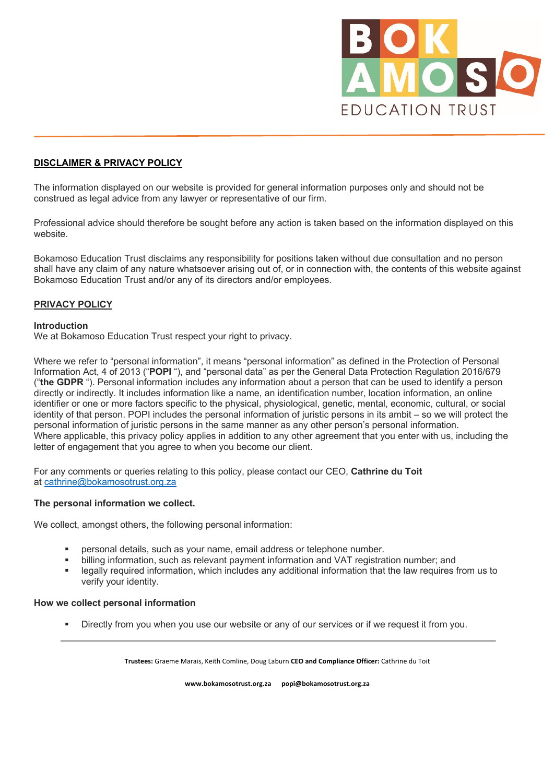

# **DISCLAIMER & PRIVACY POLICY**

The information displayed on our website is provided for general information purposes only and should not be construed as legal advice from any lawyer or representative of our firm.

Professional advice should therefore be sought before any action is taken based on the information displayed on this website.

Bokamoso Education Trust disclaims any responsibility for positions taken without due consultation and no person shall have any claim of any nature whatsoever arising out of, or in connection with, the contents of this website against Bokamoso Education Trust and/or any of its directors and/or employees.

# **PRIVACY POLICY**

### **Introduction**

We at Bokamoso Education Trust respect your right to privacy.

Where we refer to "personal information", it means "personal information" as defined in the Protection of Personal Information Act, 4 of 2013 ("**POPI** "), and "personal data" as per the General Data Protection Regulation 2016/679 ("**the GDPR** "). Personal information includes any information about a person that can be used to identify a person directly or indirectly. It includes information like a name, an identification number, location information, an online identifier or one or more factors specific to the physical, physiological, genetic, mental, economic, cultural, or social identity of that person. POPI includes the personal information of juristic persons in its ambit – so we will protect the personal information of juristic persons in the same manner as any other person's personal information. Where applicable, this privacy policy applies in addition to any other agreement that you enter with us, including the letter of engagement that you agree to when you become our client.

For any comments or queries relating to this policy, please contact our CEO, **Cathrine du Toit** at cathrine@bokamosotrust.org.za

### **The personal information we collect.**

We collect, amongst others, the following personal information:

- § personal details, such as your name, email address or telephone number.
- billing information, such as relevant payment information and VAT registration number; and
- § legally required information, which includes any additional information that the law requires from us to verify your identity.

### **How we collect personal information**

Directly from you when you use our website or any of our services or if we request it from you.

**Trustees:** Graeme Marais, Keith Comline, Doug Laburn **CEO and Compliance Officer:** Cathrine du Toit

**www.bokamosotrust.org.za popi@bokamosotrust.org.za**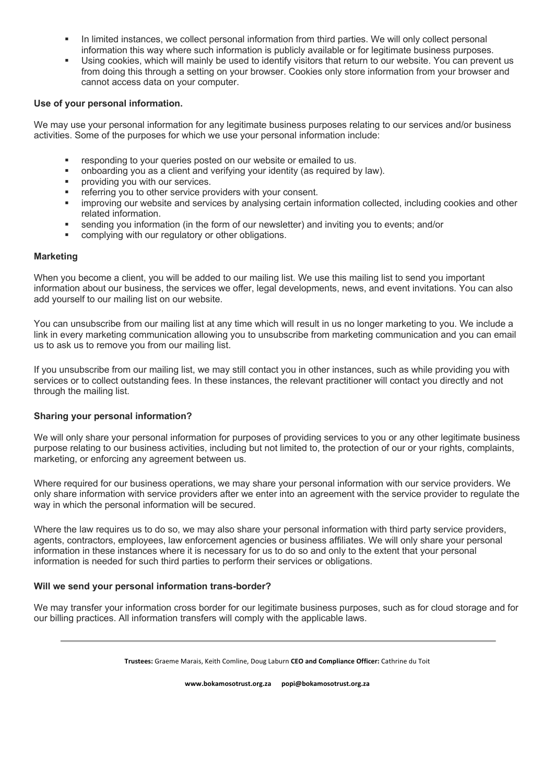- In limited instances, we collect personal information from third parties. We will only collect personal information this way where such information is publicly available or for legitimate business purposes.
- Using cookies, which will mainly be used to identify visitors that return to our website. You can prevent us from doing this through a setting on your browser. Cookies only store information from your browser and cannot access data on your computer.

## **Use of your personal information.**

We may use your personal information for any legitimate business purposes relating to our services and/or business activities. Some of the purposes for which we use your personal information include:

- responding to your queries posted on our website or emailed to us.
- § onboarding you as a client and verifying your identity (as required by law).
- **•** providing you with our services.
- referring you to other service providers with your consent.
- improving our website and services by analysing certain information collected, including cookies and other related information.
- § sending you information (in the form of our newsletter) and inviting you to events; and/or
- complying with our regulatory or other obligations.

## **Marketing**

When you become a client, you will be added to our mailing list. We use this mailing list to send you important information about our business, the services we offer, legal developments, news, and event invitations. You can also add yourself to our mailing list on our website.

You can unsubscribe from our mailing list at any time which will result in us no longer marketing to you. We include a link in every marketing communication allowing you to unsubscribe from marketing communication and you can email us to ask us to remove you from our mailing list.

If you unsubscribe from our mailing list, we may still contact you in other instances, such as while providing you with services or to collect outstanding fees. In these instances, the relevant practitioner will contact you directly and not through the mailing list.

### **Sharing your personal information?**

We will only share your personal information for purposes of providing services to you or any other legitimate business purpose relating to our business activities, including but not limited to, the protection of our or your rights, complaints, marketing, or enforcing any agreement between us.

Where required for our business operations, we may share your personal information with our service providers. We only share information with service providers after we enter into an agreement with the service provider to regulate the way in which the personal information will be secured.

Where the law requires us to do so, we may also share your personal information with third party service providers, agents, contractors, employees, law enforcement agencies or business affiliates. We will only share your personal information in these instances where it is necessary for us to do so and only to the extent that your personal information is needed for such third parties to perform their services or obligations.

### **Will we send your personal information trans-border?**

We may transfer your information cross border for our legitimate business purposes, such as for cloud storage and for our billing practices. All information transfers will comply with the applicable laws.

**Trustees:** Graeme Marais, Keith Comline, Doug Laburn **CEO and Compliance Officer:** Cathrine du Toit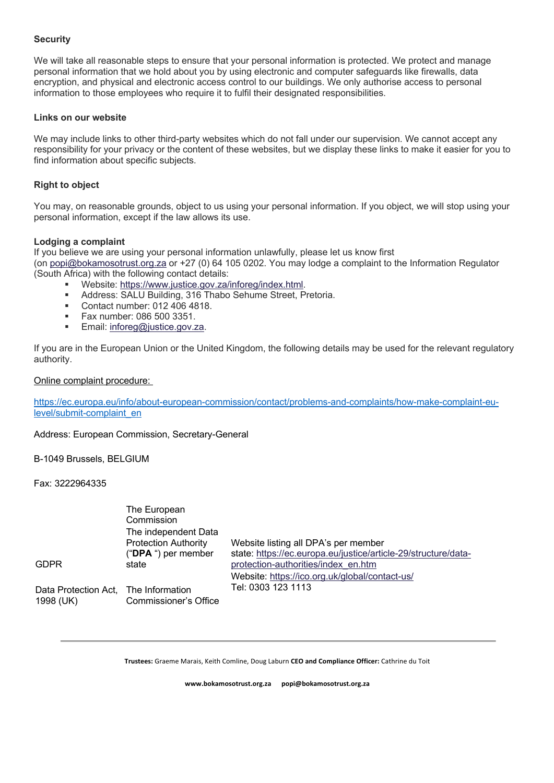# **Security**

We will take all reasonable steps to ensure that your personal information is protected. We protect and manage personal information that we hold about you by using electronic and computer safeguards like firewalls, data encryption, and physical and electronic access control to our buildings. We only authorise access to personal information to those employees who require it to fulfil their designated responsibilities.

## **Links on our website**

We may include links to other third-party websites which do not fall under our supervision. We cannot accept any responsibility for your privacy or the content of these websites, but we display these links to make it easier for you to find information about specific subjects.

# **Right to object**

You may, on reasonable grounds, object to us using your personal information. If you object, we will stop using your personal information, except if the law allows its use.

# **Lodging a complaint**

If you believe we are using your personal information unlawfully, please let us know first (on popi@bokamosotrust.org.za or +27 (0) 64 105 0202. You may lodge a complaint to the Information Regulator (South Africa) with the following contact details:

- Website: https://www.justice.gov.za/inforeg/index.html.
- Address: SALU Building, 316 Thabo Sehume Street, Pretoria.
- Contact number: 012 406 4818.
- § Fax number: 086 500 3351.
- Email: inforeg@justice.gov.za.

If you are in the European Union or the United Kingdom, the following details may be used for the relevant regulatory authority.

## Online complaint procedure:

https://ec.europa.eu/info/about-european-commission/contact/problems-and-complaints/how-make-complaint-eulevel/submit-complaint\_en

### Address: European Commission, Secretary-General

B-1049 Brussels, BELGIUM

Fax: 3222964335

|                                                   | The European<br>Commission<br>The independent Data    |                                                                                                        |
|---------------------------------------------------|-------------------------------------------------------|--------------------------------------------------------------------------------------------------------|
|                                                   | <b>Protection Authority</b><br>(" $DPA$ ") per member | Website listing all DPA's per member<br>state: https://ec.europa.eu/justice/article-29/structure/data- |
| <b>GDPR</b>                                       | state                                                 | protection-authorities/index en.htm<br>Website: https://ico.org.uk/global/contact-us/                  |
| Data Protection Act, The Information<br>1998 (UK) | <b>Commissioner's Office</b>                          | Tel: 0303 123 1113                                                                                     |

**Trustees:** Graeme Marais, Keith Comline, Doug Laburn **CEO and Compliance Officer:** Cathrine du Toit

**www.bokamosotrust.org.za popi@bokamosotrust.org.za**